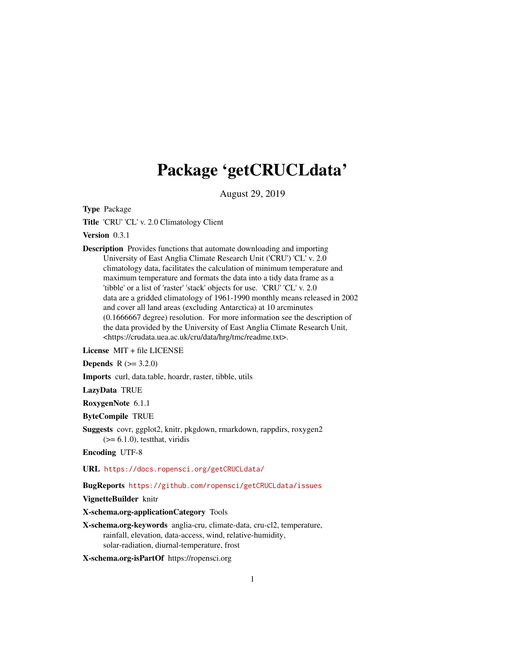# Package 'getCRUCLdata'

August 29, 2019

<span id="page-0-0"></span>Type Package

Title 'CRU' 'CL' v. 2.0 Climatology Client

Version 0.3.1

Description Provides functions that automate downloading and importing University of East Anglia Climate Research Unit ('CRU') 'CL' v. 2.0 climatology data, facilitates the calculation of minimum temperature and maximum temperature and formats the data into a tidy data frame as a 'tibble' or a list of 'raster' 'stack' objects for use. 'CRU' 'CL' v. 2.0 data are a gridded climatology of 1961-1990 monthly means released in 2002 and cover all land areas (excluding Antarctica) at 10 arcminutes (0.1666667 degree) resolution. For more information see the description of the data provided by the University of East Anglia Climate Research Unit, <https://crudata.uea.ac.uk/cru/data/hrg/tmc/readme.txt>.

License MIT + file LICENSE

**Depends**  $R (= 3.2.0)$ 

Imports curl, data.table, hoardr, raster, tibble, utils

LazyData TRUE

RoxygenNote 6.1.1

ByteCompile TRUE

Suggests covr, ggplot2, knitr, pkgdown, rmarkdown, rappdirs, roxygen2  $(>= 6.1.0)$ , test that, viridis

Encoding UTF-8

URL <https://docs.ropensci.org/getCRUCLdata/>

BugReports <https://github.com/ropensci/getCRUCLdata/issues>

VignetteBuilder knitr

X-schema.org-applicationCategory Tools

X-schema.org-keywords anglia-cru, climate-data, cru-cl2, temperature, rainfall, elevation, data-access, wind, relative-humidity, solar-radiation, diurnal-temperature, frost

X-schema.org-isPartOf https://ropensci.org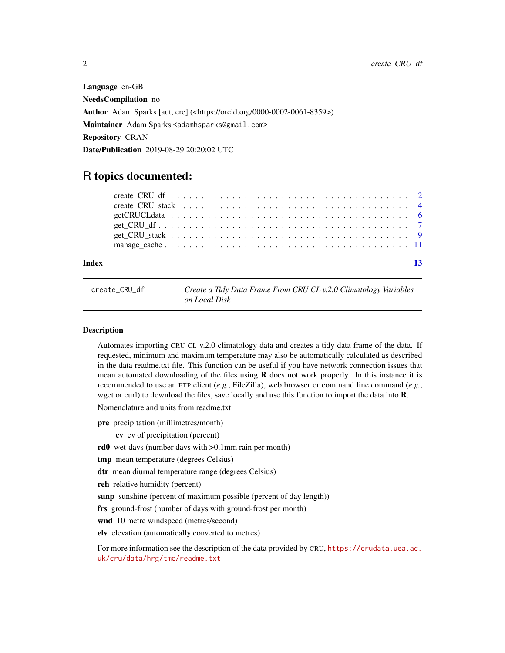<span id="page-1-0"></span>Language en-GB NeedsCompilation no Author Adam Sparks [aut, cre] (<https://orcid.org/0000-0002-0061-8359>) Maintainer Adam Sparks <adamhsparks@gmail.com> Repository CRAN Date/Publication 2019-08-29 20:20:02 UTC

# R topics documented:

| Index | 13 |  |
|-------|----|--|
|       |    |  |
|       |    |  |
|       |    |  |
|       |    |  |
|       |    |  |
|       |    |  |
|       |    |  |

<span id="page-1-1"></span>create\_CRU\_df *Create a Tidy Data Frame From CRU CL v.2.0 Climatology Variables on Local Disk*

#### Description

Automates importing CRU CL v.2.0 climatology data and creates a tidy data frame of the data. If requested, minimum and maximum temperature may also be automatically calculated as described in the data readme.txt file. This function can be useful if you have network connection issues that mean automated downloading of the files using  **does not work properly. In this instance it is** recommended to use an FTP client (*e.g.*, FileZilla), web browser or command line command (*e.g.*, wget or curl) to download the files, save locally and use this function to import the data into **R**.

Nomenclature and units from readme.txt:

pre precipitation (millimetres/month)

cv cv of precipitation (percent)

rd0 wet-days (number days with >0.1mm rain per month)

tmp mean temperature (degrees Celsius)

dtr mean diurnal temperature range (degrees Celsius)

reh relative humidity (percent)

sunp sunshine (percent of maximum possible (percent of day length))

frs ground-frost (number of days with ground-frost per month)

wnd 10 metre windspeed (metres/second)

elv elevation (automatically converted to metres)

For more information see the description of the data provided by CRU, [https://crudata.uea.ac.](https://crudata.uea.ac.uk/cru/data/hrg/tmc/readme.txt) [uk/cru/data/hrg/tmc/readme.txt](https://crudata.uea.ac.uk/cru/data/hrg/tmc/readme.txt)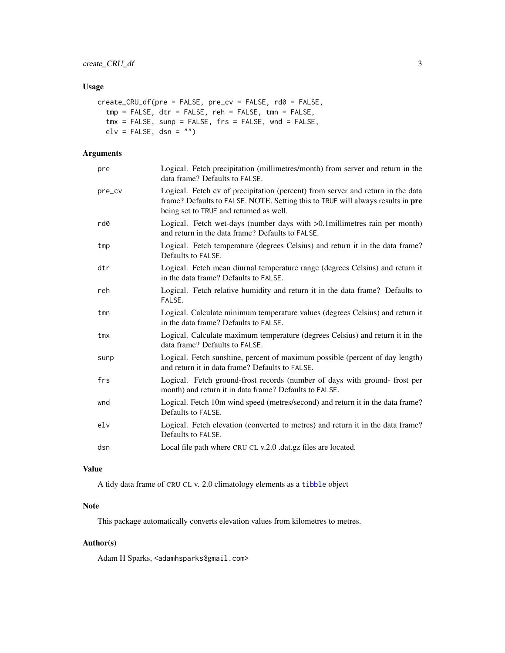# <span id="page-2-0"></span>Usage

```
create_CRU_df(pre = FALSE, pre_cv = FALSE, rd0 = FALSE,tmp = FALSE, dtr = FALSE, reh = FALSE, tmn = FALSE,
  tmx = FALSE, sunp = FALSE, frs = FALSE, wnd = FALSE,
 elv = FALSE, dsn = "")
```
# Arguments

| pre    | Logical. Fetch precipitation (millimetres/month) from server and return in the<br>data frame? Defaults to FALSE.                                                                                              |
|--------|---------------------------------------------------------------------------------------------------------------------------------------------------------------------------------------------------------------|
| pre_cv | Logical. Fetch cv of precipitation (percent) from server and return in the data<br>frame? Defaults to FALSE. NOTE. Setting this to TRUE will always results in pre<br>being set to TRUE and returned as well. |
| rd0    | Logical. Fetch wet-days (number days with >0.1 millimetres rain per month)<br>and return in the data frame? Defaults to FALSE.                                                                                |
| tmp    | Logical. Fetch temperature (degrees Celsius) and return it in the data frame?<br>Defaults to FALSE.                                                                                                           |
| dtr    | Logical. Fetch mean diurnal temperature range (degrees Celsius) and return it<br>in the data frame? Defaults to FALSE.                                                                                        |
| reh    | Logical. Fetch relative humidity and return it in the data frame? Defaults to<br>FALSE.                                                                                                                       |
| tmn    | Logical. Calculate minimum temperature values (degrees Celsius) and return it<br>in the data frame? Defaults to FALSE.                                                                                        |
| tmx    | Logical. Calculate maximum temperature (degrees Celsius) and return it in the<br>data frame? Defaults to FALSE.                                                                                               |
| sunp   | Logical. Fetch sunshine, percent of maximum possible (percent of day length)<br>and return it in data frame? Defaults to FALSE.                                                                               |
| frs    | Logical. Fetch ground-frost records (number of days with ground-frost per<br>month) and return it in data frame? Defaults to FALSE.                                                                           |
| wnd    | Logical. Fetch 10m wind speed (metres/second) and return it in the data frame?<br>Defaults to FALSE.                                                                                                          |
| elv    | Logical. Fetch elevation (converted to metres) and return it in the data frame?<br>Defaults to FALSE.                                                                                                         |
| dsn    | Local file path where CRU CL v.2.0 .dat.gz files are located.                                                                                                                                                 |

# Value

A tidy data frame of CRU CL v. 2.0 climatology elements as a [tibble](#page-0-0) object

# Note

This package automatically converts elevation values from kilometres to metres.

# Author(s)

Adam H Sparks, <adamhsparks@gmail.com>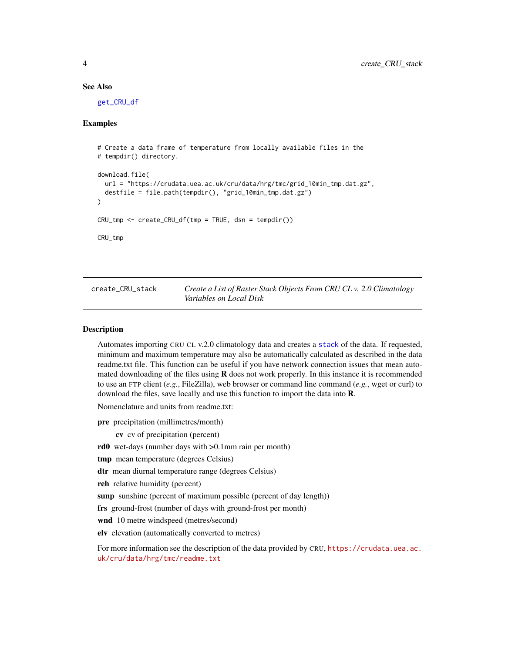#### See Also

[get\\_CRU\\_df](#page-6-1)

### Examples

```
# Create a data frame of temperature from locally available files in the
# tempdir() directory.
download.file(
 url = "https://crudata.uea.ac.uk/cru/data/hrg/tmc/grid_10min_tmp.dat.gz",
 destfile = file.path(tempdir(), "grid_10min_tmp.dat.gz")
)
CRU_tmp \leftarrow create_CRU_df(tmp = TRUE, dsn = tempdir())CRU_tmp
```
<span id="page-3-1"></span>create\_CRU\_stack *Create a List of Raster Stack Objects From CRU CL v. 2.0 Climatology Variables on Local Disk*

#### Description

Automates importing CRU CL v.2.0 climatology data and creates a [stack](#page-0-0) of the data. If requested, minimum and maximum temperature may also be automatically calculated as described in the data readme.txt file. This function can be useful if you have network connection issues that mean automated downloading of the files using  **does not work properly. In this instance it is recommended** to use an FTP client (*e.g.*, FileZilla), web browser or command line command (*e.g.*, wget or curl) to download the files, save locally and use this function to import the data into **.** 

Nomenclature and units from readme.txt:

pre precipitation (millimetres/month)

cv cv of precipitation (percent)

rd0 wet-days (number days with >0.1mm rain per month)

tmp mean temperature (degrees Celsius)

dtr mean diurnal temperature range (degrees Celsius)

reh relative humidity (percent)

sunp sunshine (percent of maximum possible (percent of day length))

frs ground-frost (number of days with ground-frost per month)

wnd 10 metre windspeed (metres/second)

elv elevation (automatically converted to metres)

For more information see the description of the data provided by CRU, [https://crudata.uea.ac.](https://crudata.uea.ac.uk/cru/data/hrg/tmc/readme.txt) [uk/cru/data/hrg/tmc/readme.txt](https://crudata.uea.ac.uk/cru/data/hrg/tmc/readme.txt)

<span id="page-3-0"></span>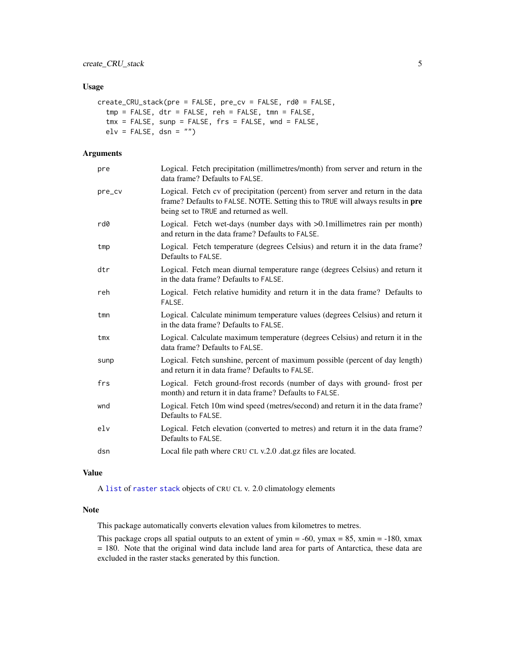# <span id="page-4-0"></span>Usage

```
create_CRU_stack(pre = FALSE, pre_cv = FALSE, rd0 = FALSE,
  tmp = FALSE, dtr = FALSE, reh = FALSE, tmn = FALSE,
  tmx = FALSE, sup = FALSE, frs = FALSE, wnd = FALSE,
 elv = FALSE, dsn = ''")
```
#### Arguments

| pre    | Logical. Fetch precipitation (millimetres/month) from server and return in the<br>data frame? Defaults to FALSE.                                                                                              |
|--------|---------------------------------------------------------------------------------------------------------------------------------------------------------------------------------------------------------------|
| pre_cv | Logical. Fetch cv of precipitation (percent) from server and return in the data<br>frame? Defaults to FALSE. NOTE. Setting this to TRUE will always results in pre<br>being set to TRUE and returned as well. |
| rd0    | Logical. Fetch wet-days (number days with >0.1 millimetres rain per month)<br>and return in the data frame? Defaults to FALSE.                                                                                |
| tmp    | Logical. Fetch temperature (degrees Celsius) and return it in the data frame?<br>Defaults to FALSE.                                                                                                           |
| dtr    | Logical. Fetch mean diurnal temperature range (degrees Celsius) and return it<br>in the data frame? Defaults to FALSE.                                                                                        |
| reh    | Logical. Fetch relative humidity and return it in the data frame? Defaults to<br>FALSE.                                                                                                                       |
| tmn    | Logical. Calculate minimum temperature values (degrees Celsius) and return it<br>in the data frame? Defaults to FALSE.                                                                                        |
| tmx    | Logical. Calculate maximum temperature (degrees Celsius) and return it in the<br>data frame? Defaults to FALSE.                                                                                               |
| sunp   | Logical. Fetch sunshine, percent of maximum possible (percent of day length)<br>and return it in data frame? Defaults to FALSE.                                                                               |
| frs    | Logical. Fetch ground-frost records (number of days with ground-frost per<br>month) and return it in data frame? Defaults to FALSE.                                                                           |
| wnd    | Logical. Fetch 10m wind speed (metres/second) and return it in the data frame?<br>Defaults to FALSE.                                                                                                          |
| elv    | Logical. Fetch elevation (converted to metres) and return it in the data frame?<br>Defaults to FALSE.                                                                                                         |
| dsn    | Local file path where CRU CL v.2.0 .dat.gz files are located.                                                                                                                                                 |

#### Value

A [list](#page-0-0) of [raster](#page-0-0) [stack](#page-0-0) objects of CRU CL v. 2.0 climatology elements

# Note

This package automatically converts elevation values from kilometres to metres.

This package crops all spatial outputs to an extent of ymin  $= -60$ , ymax  $= 85$ , xmin  $= -180$ , xmax = 180. Note that the original wind data include land area for parts of Antarctica, these data are excluded in the raster stacks generated by this function.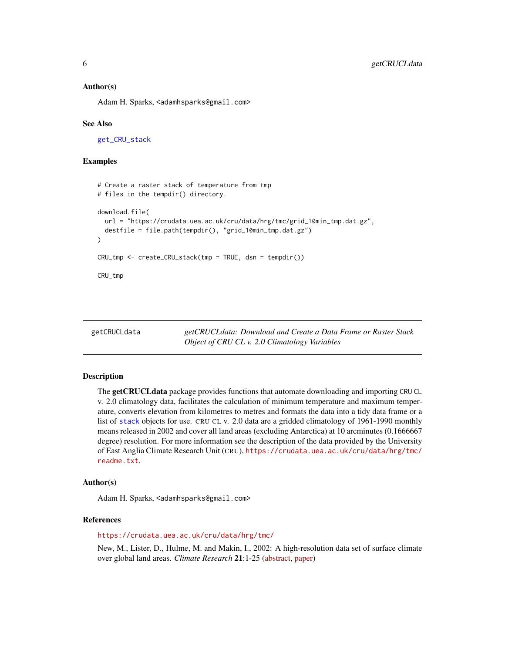#### <span id="page-5-0"></span>Author(s)

Adam H. Sparks, <adamhsparks@gmail.com>

#### See Also

[get\\_CRU\\_stack](#page-8-1)

#### Examples

```
# Create a raster stack of temperature from tmp
# files in the tempdir() directory.
download.file(
 url = "https://crudata.uea.ac.uk/cru/data/hrg/tmc/grid_10min_tmp.dat.gz",
 destfile = file.path(tempdir(), "grid_10min_tmp.dat.gz")
)
CRU_tmp <- create_CRU_stack(tmp = TRUE, dsn = tempdir())
CRU_tmp
```
getCRUCLdata *getCRUCLdata: Download and Create a Data Frame or Raster Stack Object of CRU CL v. 2.0 Climatology Variables*

#### Description

The getCRUCLdata package provides functions that automate downloading and importing CRU CL v. 2.0 climatology data, facilitates the calculation of minimum temperature and maximum temperature, converts elevation from kilometres to metres and formats the data into a tidy data frame or a list of [stack](#page-0-0) objects for use. CRU CL v. 2.0 data are a gridded climatology of 1961-1990 monthly means released in 2002 and cover all land areas (excluding Antarctica) at 10 arcminutes (0.1666667 degree) resolution. For more information see the description of the data provided by the University of East Anglia Climate Research Unit (CRU), [https://crudata.uea.ac.uk/cru/data/hrg/tmc/](https://crudata.uea.ac.uk/cru/data/hrg/tmc/readme.txt) [readme.txt](https://crudata.uea.ac.uk/cru/data/hrg/tmc/readme.txt).

#### Author(s)

Adam H. Sparks, <adamhsparks@gmail.com>

#### References

<https://crudata.uea.ac.uk/cru/data/hrg/tmc/>

New, M., Lister, D., Hulme, M. and Makin, I., 2002: A high-resolution data set of surface climate over global land areas. *Climate Research* 21:1-25 [\(abstract,](https://crudata.uea.ac.uk/cru/data/hrg/tmc/) [paper\)](http://www.int-res.com/articles/cr2002/21/c021p001.pdf)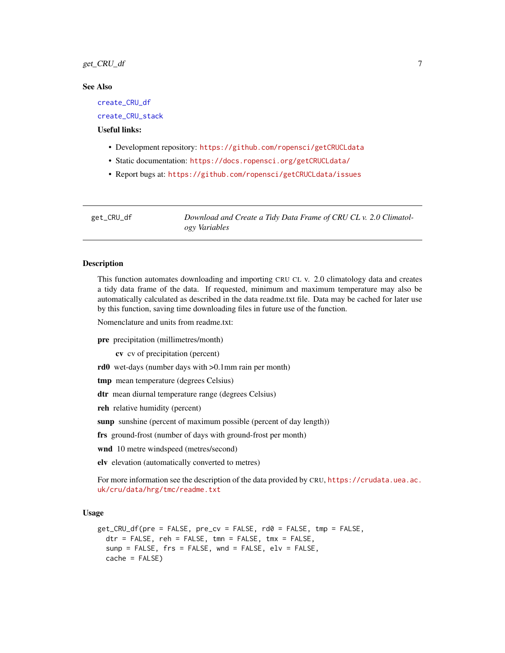#### <span id="page-6-0"></span> $get\_CRU\_df$  7

#### See Also

[create\\_CRU\\_df](#page-1-1)

[create\\_CRU\\_stack](#page-3-1)

# Useful links:

- Development repository: <https://github.com/ropensci/getCRUCLdata>
- Static documentation: <https://docs.ropensci.org/getCRUCLdata/>
- Report bugs at: <https://github.com/ropensci/getCRUCLdata/issues>

<span id="page-6-1"></span>get\_CRU\_df *Download and Create a Tidy Data Frame of CRU CL v. 2.0 Climatology Variables*

#### Description

This function automates downloading and importing CRU CL v. 2.0 climatology data and creates a tidy data frame of the data. If requested, minimum and maximum temperature may also be automatically calculated as described in the data readme.txt file. Data may be cached for later use by this function, saving time downloading files in future use of the function.

Nomenclature and units from readme.txt:

pre precipitation (millimetres/month)

cv cv of precipitation (percent)

- rd0 wet-days (number days with >0.1mm rain per month)
- tmp mean temperature (degrees Celsius)
- dtr mean diurnal temperature range (degrees Celsius)

reh relative humidity (percent)

sunp sunshine (percent of maximum possible (percent of day length))

frs ground-frost (number of days with ground-frost per month)

wnd 10 metre windspeed (metres/second)

elv elevation (automatically converted to metres)

For more information see the description of the data provided by CRU, [https://crudata.uea.ac.](https://crudata.uea.ac.uk/cru/data/hrg/tmc/readme.txt) [uk/cru/data/hrg/tmc/readme.txt](https://crudata.uea.ac.uk/cru/data/hrg/tmc/readme.txt)

#### Usage

```
get_CRU_df(pre = FALSE, pre_cv = FALSE, rd0 = FALSE, tmp = FALSE,
  \text{dtr} = FALSE, reh = FALSE, tmn = FALSE, tmx = FALSE,
  sunp = FALSE, frs = FALSE, wnd = FALSE, elv = FALSE,
  cache = FALSE)
```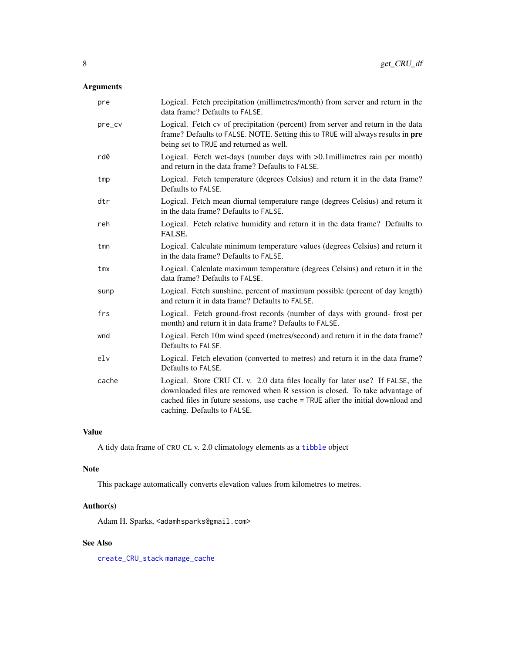# <span id="page-7-0"></span>Arguments

| pre             | Logical. Fetch precipitation (millimetres/month) from server and return in the<br>data frame? Defaults to FALSE.                                                                                                                                                               |
|-----------------|--------------------------------------------------------------------------------------------------------------------------------------------------------------------------------------------------------------------------------------------------------------------------------|
| pre_cv          | Logical. Fetch cv of precipitation (percent) from server and return in the data<br>frame? Defaults to FALSE. NOTE. Setting this to TRUE will always results in pre<br>being set to TRUE and returned as well.                                                                  |
| rd0             | Logical. Fetch wet-days (number days with >0.1millimetres rain per month)<br>and return in the data frame? Defaults to FALSE.                                                                                                                                                  |
| tmp             | Logical. Fetch temperature (degrees Celsius) and return it in the data frame?<br>Defaults to FALSE.                                                                                                                                                                            |
| dtr             | Logical. Fetch mean diurnal temperature range (degrees Celsius) and return it<br>in the data frame? Defaults to FALSE.                                                                                                                                                         |
| reh             | Logical. Fetch relative humidity and return it in the data frame? Defaults to<br>FALSE.                                                                                                                                                                                        |
| tmn             | Logical. Calculate minimum temperature values (degrees Celsius) and return it<br>in the data frame? Defaults to FALSE.                                                                                                                                                         |
| tmx             | Logical. Calculate maximum temperature (degrees Celsius) and return it in the<br>data frame? Defaults to FALSE.                                                                                                                                                                |
| sunp            | Logical. Fetch sunshine, percent of maximum possible (percent of day length)<br>and return it in data frame? Defaults to FALSE.                                                                                                                                                |
| frs             | Logical. Fetch ground-frost records (number of days with ground-frost per<br>month) and return it in data frame? Defaults to FALSE.                                                                                                                                            |
| wnd             | Logical. Fetch 10m wind speed (metres/second) and return it in the data frame?<br>Defaults to FALSE.                                                                                                                                                                           |
| e <sub>1v</sub> | Logical. Fetch elevation (converted to metres) and return it in the data frame?<br>Defaults to FALSE.                                                                                                                                                                          |
| cache           | Logical. Store CRU CL v. 2.0 data files locally for later use? If FALSE, the<br>downloaded files are removed when R session is closed. To take advantage of<br>cached files in future sessions, use cache = TRUE after the initial download and<br>caching. Defaults to FALSE. |

# Value

A tidy data frame of CRU CL v. 2.0 climatology elements as a [tibble](#page-0-0) object

# Note

This package automatically converts elevation values from kilometres to metres.

# Author(s)

Adam H. Sparks, <adamhsparks@gmail.com>

# See Also

[create\\_CRU\\_stack](#page-3-1) [manage\\_cache](#page-10-1)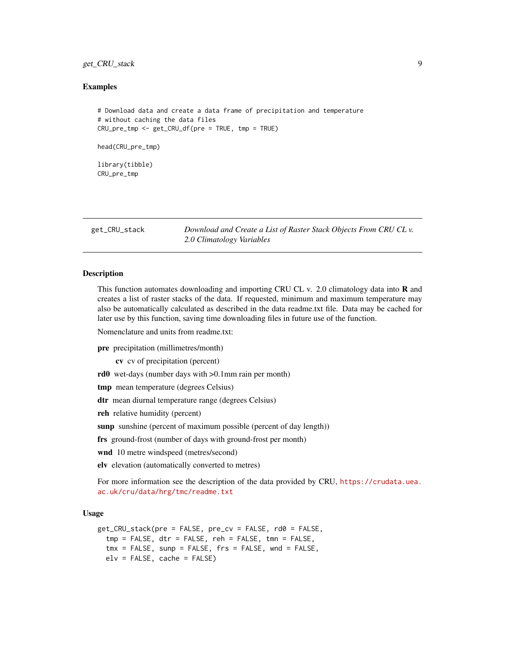# <span id="page-8-0"></span>get\_CRU\_stack 9

#### Examples

```
# Download data and create a data frame of precipitation and temperature
# without caching the data files
CRU_pre_tmp <- get_CRU_df(pre = TRUE, tmp = TRUE)
head(CRU_pre_tmp)
library(tibble)
CRU_pre_tmp
```
<span id="page-8-1"></span>get\_CRU\_stack *Download and Create a List of Raster Stack Objects From CRU CL v. 2.0 Climatology Variables*

#### **Description**

This function automates downloading and importing CRU CL v. 2.0 climatology data into **R** and creates a list of raster stacks of the data. If requested, minimum and maximum temperature may also be automatically calculated as described in the data readme.txt file. Data may be cached for later use by this function, saving time downloading files in future use of the function.

Nomenclature and units from readme.txt:

pre precipitation (millimetres/month)

cv cv of precipitation (percent)

rd0 wet-days (number days with >0.1mm rain per month)

tmp mean temperature (degrees Celsius)

dtr mean diurnal temperature range (degrees Celsius)

reh relative humidity (percent)

sunp sunshine (percent of maximum possible (percent of day length))

frs ground-frost (number of days with ground-frost per month)

wnd 10 metre windspeed (metres/second)

elv elevation (automatically converted to metres)

For more information see the description of the data provided by CRU, [https://crudata.uea.](https://crudata.uea.ac.uk/cru/data/hrg/tmc/readme.txt) [ac.uk/cru/data/hrg/tmc/readme.txt](https://crudata.uea.ac.uk/cru/data/hrg/tmc/readme.txt)

#### Usage

```
get_CRU_stack(pre = FALSE, pre_cv = FALSE, rd0 = FALSE,
  tmp = FALSE, dt = FALSE, reh = FALSE, tmn = FALSE,tmx = FALSE, supp = FALSE, frs = FALSE, wnd = FALSE,
 e1v = FALKSE, cache = FALKSE)
```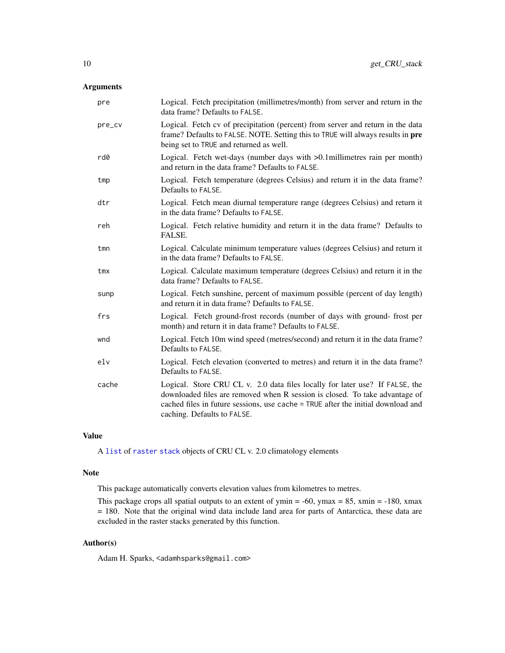# <span id="page-9-0"></span>Arguments

| pre    | Logical. Fetch precipitation (millimetres/month) from server and return in the<br>data frame? Defaults to FALSE.                                                                                                                                                               |
|--------|--------------------------------------------------------------------------------------------------------------------------------------------------------------------------------------------------------------------------------------------------------------------------------|
| pre_cv | Logical. Fetch cv of precipitation (percent) from server and return in the data<br>frame? Defaults to FALSE. NOTE. Setting this to TRUE will always results in pre<br>being set to TRUE and returned as well.                                                                  |
| rd0    | Logical. Fetch wet-days (number days with >0.1 millimetres rain per month)<br>and return in the data frame? Defaults to FALSE.                                                                                                                                                 |
| tmp    | Logical. Fetch temperature (degrees Celsius) and return it in the data frame?<br>Defaults to FALSE.                                                                                                                                                                            |
| dtr    | Logical. Fetch mean diurnal temperature range (degrees Celsius) and return it<br>in the data frame? Defaults to FALSE.                                                                                                                                                         |
| reh    | Logical. Fetch relative humidity and return it in the data frame? Defaults to<br>FALSE.                                                                                                                                                                                        |
| tmn    | Logical. Calculate minimum temperature values (degrees Celsius) and return it<br>in the data frame? Defaults to FALSE.                                                                                                                                                         |
| tmx    | Logical. Calculate maximum temperature (degrees Celsius) and return it in the<br>data frame? Defaults to FALSE.                                                                                                                                                                |
| sunp   | Logical. Fetch sunshine, percent of maximum possible (percent of day length)<br>and return it in data frame? Defaults to FALSE.                                                                                                                                                |
| frs    | Logical. Fetch ground-frost records (number of days with ground-frost per<br>month) and return it in data frame? Defaults to FALSE.                                                                                                                                            |
| wnd    | Logical. Fetch 10m wind speed (metres/second) and return it in the data frame?<br>Defaults to FALSE.                                                                                                                                                                           |
| e1v    | Logical. Fetch elevation (converted to metres) and return it in the data frame?<br>Defaults to FALSE.                                                                                                                                                                          |
| cache  | Logical. Store CRU CL v. 2.0 data files locally for later use? If FALSE, the<br>downloaded files are removed when R session is closed. To take advantage of<br>cached files in future sessions, use cache = TRUE after the initial download and<br>caching. Defaults to FALSE. |

# Value

A [list](#page-0-0) of [raster](#page-0-0) [stack](#page-0-0) objects of CRU CL v. 2.0 climatology elements

#### Note

This package automatically converts elevation values from kilometres to metres.

This package crops all spatial outputs to an extent of ymin =  $-60$ , ymax = 85, xmin =  $-180$ , xmax = 180. Note that the original wind data include land area for parts of Antarctica, these data are excluded in the raster stacks generated by this function.

# Author(s)

Adam H. Sparks, <adamhsparks@gmail.com>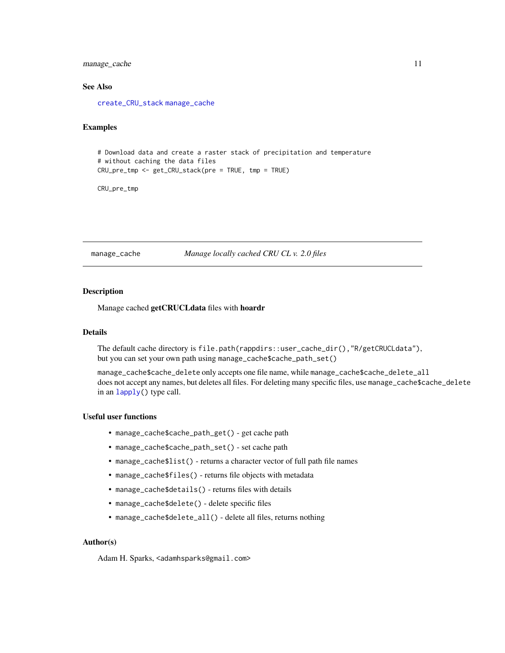# <span id="page-10-0"></span>manage\_cache 11

# See Also

[create\\_CRU\\_stack](#page-3-1) [manage\\_cache](#page-10-1)

#### Examples

```
# Download data and create a raster stack of precipitation and temperature
# without caching the data files
CRU_pre_tmp <- get_CRU_stack(pre = TRUE, tmp = TRUE)
```
CRU\_pre\_tmp

<span id="page-10-1"></span>manage\_cache *Manage locally cached CRU CL v. 2.0 files*

#### Description

Manage cached getCRUCLdata files with hoardr

#### Details

The default cache directory is file.path(rappdirs::user\_cache\_dir(),"R/getCRUCLdata"), but you can set your own path using manage\_cache\$cache\_path\_set()

manage\_cache\$cache\_delete only accepts one file name, while manage\_cache\$cache\_delete\_all does not accept any names, but deletes all files. For deleting many specific files, use manage\_cache\$cache\_delete in an [lapply\(](#page-0-0)) type call.

#### Useful user functions

- manage\_cache\$cache\_path\_get() get cache path
- manage\_cache\$cache\_path\_set() set cache path
- manage\_cache\$list() returns a character vector of full path file names
- manage\_cache\$files() returns file objects with metadata
- manage\_cache\$details() returns files with details
- manage\_cache\$delete() delete specific files
- manage\_cache\$delete\_all() delete all files, returns nothing

#### Author(s)

Adam H. Sparks, <adamhsparks@gmail.com>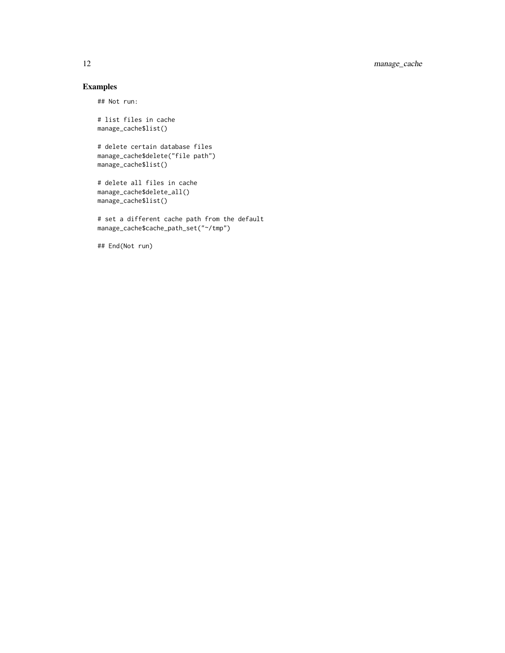# Examples

## Not run:

# list files in cache manage\_cache\$list()

```
# delete certain database files
manage_cache$delete("file path")
manage_cache$list()
```

```
# delete all files in cache
manage_cache$delete_all()
manage_cache$list()
```

```
# set a different cache path from the default
manage_cache$cache_path_set("~/tmp")
```
## End(Not run)